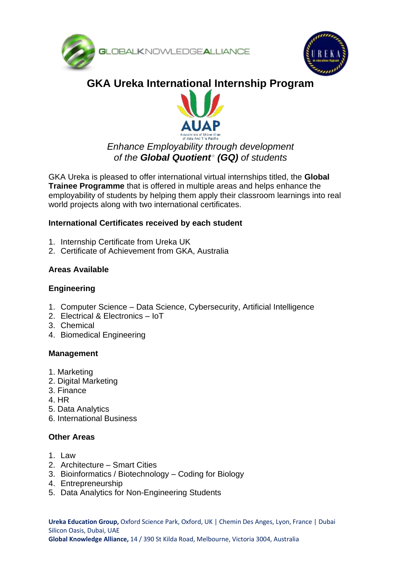



# **GKA Ureka International Internship Program**



## *Enhance Employability through development of the Global Quotient\* (GQ) of students*

GKA Ureka is pleased to offer international virtual internships titled, the **Global Trainee Programme** that is offered in multiple areas and helps enhance the employability of students by helping them apply their classroom learnings into real world projects along with two international certificates.

## **International Certificates received by each student**

- 1. Internship Certificate from Ureka UK
- 2. Certificate of Achievement from GKA, Australia

## **Areas Available**

#### **Engineering**

- 1. Computer Science Data Science, Cybersecurity, Artificial Intelligence
- 2. Electrical & Electronics IoT
- 3. Chemical
- 4. Biomedical Engineering

## **Management**

- 1. Marketing
- 2. Digital Marketing
- 3. Finance
- 4. HR
- 5. Data Analytics
- 6. International Business

## **Other Areas**

- 1. Law
- 2. Architecture Smart Cities
- 3. Bioinformatics / Biotechnology Coding for Biology
- 4. Entrepreneurship
- 5. Data Analytics for Non-Engineering Students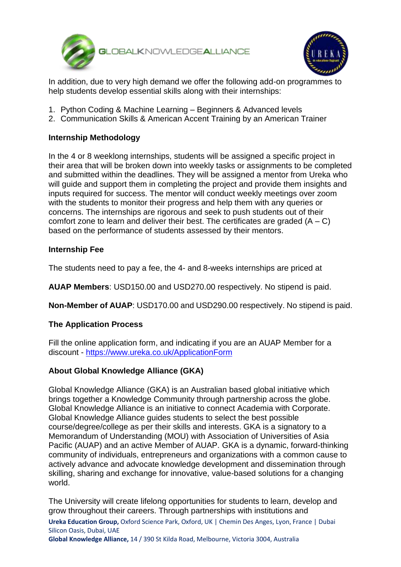



 $\overline{a}$ In addition, due to very high demand we offer the following add-on programmes to help students develop essential skills along with their internships:

- 1. Python Coding & Machine Learning Beginners & Advanced levels
- 2. Communication Skills & American Accent Training by an American Trainer

#### **Internship Methodology**

In the 4 or 8 weeklong internships, students will be assigned a specific project in their area that will be broken down into weekly tasks or assignments to be completed and submitted within the deadlines. They will be assigned a mentor from Ureka who will guide and support them in completing the project and provide them insights and inputs required for success. The mentor will conduct weekly meetings over zoom with the students to monitor their progress and help them with any queries or concerns. The internships are rigorous and seek to push students out of their comfort zone to learn and deliver their best. The certificates are graded  $(A - C)$ based on the performance of students assessed by their mentors.

#### **Internship Fee**

The students need to pay a fee, the 4- and 8-weeks internships are priced at

**AUAP Members**: USD150.00 and USD270.00 respectively. No stipend is paid.

**Non-Member of AUAP**: USD170.00 and USD290.00 respectively. No stipend is paid.

#### **The Application Process**

Fill the online application form, and indicating if you are an AUAP Member for a discount - <https://www.ureka.co.uk/ApplicationForm>

#### **About Global Knowledge Alliance (GKA)**

Global Knowledge Alliance (GKA) is an Australian based global initiative which brings together a Knowledge Community through partnership across the globe. Global Knowledge Alliance is an initiative to connect Academia with Corporate. Global Knowledge Alliance guides students to select the best possible course/degree/college as per their skills and interests. GKA is a signatory to a Memorandum of Understanding (MOU) with Association of Universities of Asia Pacific (AUAP) and an active Member of AUAP. GKA is a dynamic, forward-thinking community of individuals, entrepreneurs and organizations with a common cause to actively advance and advocate knowledge development and dissemination through skilling, sharing and exchange for innovative, value-based solutions for a changing world.

The University will create lifelong opportunities for students to learn, develop and grow throughout their careers. Through partnerships with institutions and

**Ureka Education Group,** Oxford Science Park, Oxford, UK | Chemin Des Anges, Lyon, France | Dubai Silicon Oasis, Dubai, UAE

**Global Knowledge Alliance,** 14 / 390 St Kilda Road, Melbourne, Victoria 3004, Australia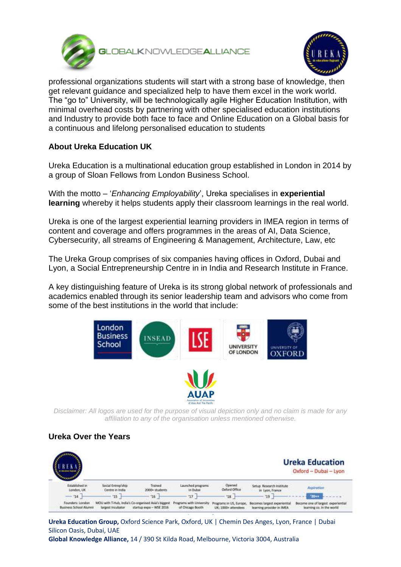



professional organizations students will start with a strong base of knowledge, then get relevant guidance and specialized help to have them excel in the work world. The "go to" University, will be technologically agile Higher Education Institution, with minimal overhead costs by partnering with other specialised education institutions and Industry to provide both face to face and Online Education on a Global basis for a continuous and lifelong personalised education to students

## **About Ureka Education UK**

Ureka Education is a multinational education group established in London in 2014 by a group of Sloan Fellows from London Business School.

With the motto – '*Enhancing Employability*', Ureka specialises in **experiential learning** whereby it helps students apply their classroom learnings in the real world.

Ureka is one of the largest experiential learning providers in IMEA region in terms of content and coverage and offers programmes in the areas of AI, Data Science, Cybersecurity, all streams of Engineering & Management, Architecture, Law, etc

The Ureka Group comprises of six companies having offices in Oxford, Dubai and Lyon, a Social Entrepreneurship Centre in in India and Research Institute in France.

A key distinguishing feature of Ureka is its strong global network of professionals and academics enabled through its senior leadership team and advisors who come from some of the best institutions in the world that include:





*Disclaimer: All logos are used for the purpose of visual depiction only and no claim is made for any affiliation to any of the organisation unless mentioned otherwise.*

## **Ureka Over the Years**



**Ureka Education Group,** Oxford Science Park, Oxford, UK | Chemin Des Anges, Lyon, France | Dubai Silicon Oasis, Dubai, UAE **Global Knowledge Alliance,** 14 / 390 St Kilda Road, Melbourne, Victoria 3004, Australia